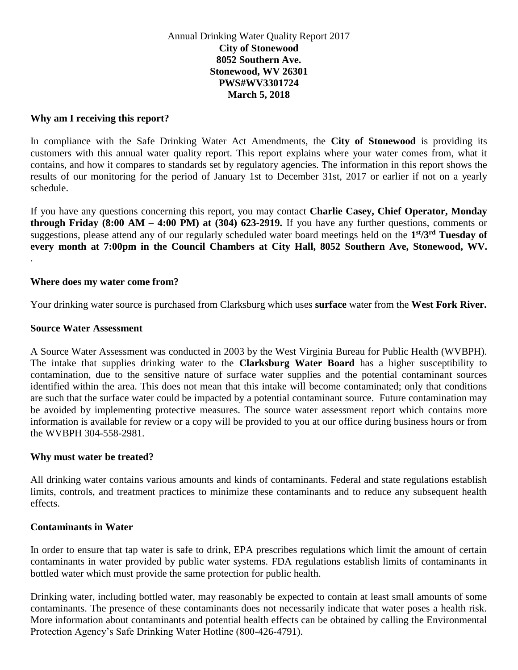### Annual Drinking Water Quality Report 2017 **City of Stonewood 8052 Southern Ave. Stonewood, WV 26301 PWS#WV3301724 March 5, 2018**

### **Why am I receiving this report?**

In compliance with the Safe Drinking Water Act Amendments, the **City of Stonewood** is providing its customers with this annual water quality report. This report explains where your water comes from, what it contains, and how it compares to standards set by regulatory agencies. The information in this report shows the results of our monitoring for the period of January 1st to December 31st, 2017 or earlier if not on a yearly schedule.

If you have any questions concerning this report, you may contact **Charlie Casey, Chief Operator, Monday through Friday (8:00 AM – 4:00 PM) at (304) 623-2919.** If you have any further questions, comments or suggestions, please attend any of our regularly scheduled water board meetings held on the **1 st/3rd Tuesday of every month at 7:00pm in the Council Chambers at City Hall, 8052 Southern Ave, Stonewood, WV.** .

#### **Where does my water come from?**

Your drinking water source is purchased from Clarksburg which uses **surface** water from the **West Fork River.** 

### **Source Water Assessment**

A Source Water Assessment was conducted in 2003 by the West Virginia Bureau for Public Health (WVBPH). The intake that supplies drinking water to the **Clarksburg Water Board** has a higher susceptibility to contamination, due to the sensitive nature of surface water supplies and the potential contaminant sources identified within the area. This does not mean that this intake will become contaminated; only that conditions are such that the surface water could be impacted by a potential contaminant source. Future contamination may be avoided by implementing protective measures. The source water assessment report which contains more information is available for review or a copy will be provided to you at our office during business hours or from the WVBPH 304-558-2981.

### **Why must water be treated?**

All drinking water contains various amounts and kinds of contaminants. Federal and state regulations establish limits, controls, and treatment practices to minimize these contaminants and to reduce any subsequent health effects.

### **Contaminants in Water**

In order to ensure that tap water is safe to drink, EPA prescribes regulations which limit the amount of certain contaminants in water provided by public water systems. FDA regulations establish limits of contaminants in bottled water which must provide the same protection for public health.

Drinking water, including bottled water, may reasonably be expected to contain at least small amounts of some contaminants. The presence of these contaminants does not necessarily indicate that water poses a health risk. More information about contaminants and potential health effects can be obtained by calling the Environmental Protection Agency's Safe Drinking Water Hotline (800-426-4791).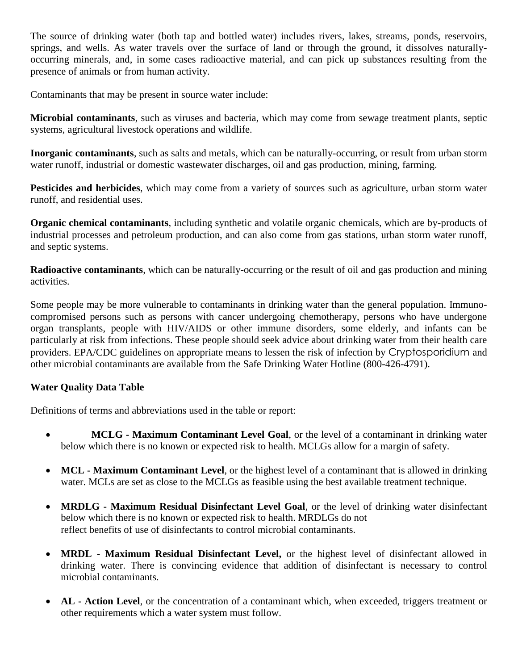The source of drinking water (both tap and bottled water) includes rivers, lakes, streams, ponds, reservoirs, springs, and wells. As water travels over the surface of land or through the ground, it dissolves naturallyoccurring minerals, and, in some cases radioactive material, and can pick up substances resulting from the presence of animals or from human activity.

Contaminants that may be present in source water include:

**Microbial contaminants**, such as viruses and bacteria, which may come from sewage treatment plants, septic systems, agricultural livestock operations and wildlife.

**Inorganic contaminants**, such as salts and metals, which can be naturally-occurring, or result from urban storm water runoff, industrial or domestic wastewater discharges, oil and gas production, mining, farming.

**Pesticides and herbicides**, which may come from a variety of sources such as agriculture, urban storm water runoff, and residential uses.

**Organic chemical contaminants**, including synthetic and volatile organic chemicals, which are by-products of industrial processes and petroleum production, and can also come from gas stations, urban storm water runoff, and septic systems.

**Radioactive contaminants**, which can be naturally-occurring or the result of oil and gas production and mining activities.

Some people may be more vulnerable to contaminants in drinking water than the general population. Immunocompromised persons such as persons with cancer undergoing chemotherapy, persons who have undergone organ transplants, people with HIV/AIDS or other immune disorders, some elderly, and infants can be particularly at risk from infections. These people should seek advice about drinking water from their health care providers. EPA/CDC guidelines on appropriate means to lessen the risk of infection by Cryptosporidium and other microbial contaminants are available from the Safe Drinking Water Hotline (800-426-4791).

## **Water Quality Data Table**

Definitions of terms and abbreviations used in the table or report:

- **MCLG - Maximum Contaminant Level Goal**, or the level of a contaminant in drinking water below which there is no known or expected risk to health. MCLGs allow for a margin of safety.
- **MCL - Maximum Contaminant Level**, or the highest level of a contaminant that is allowed in drinking water. MCLs are set as close to the MCLGs as feasible using the best available treatment technique.
- **MRDLG - Maximum Residual Disinfectant Level Goal**, or the level of drinking water disinfectant below which there is no known or expected risk to health. MRDLGs do not reflect benefits of use of disinfectants to control microbial contaminants.
- **MRDL - Maximum Residual Disinfectant Level,** or the highest level of disinfectant allowed in drinking water. There is convincing evidence that addition of disinfectant is necessary to control microbial contaminants.
- **AL - Action Level**, or the concentration of a contaminant which, when exceeded, triggers treatment or other requirements which a water system must follow.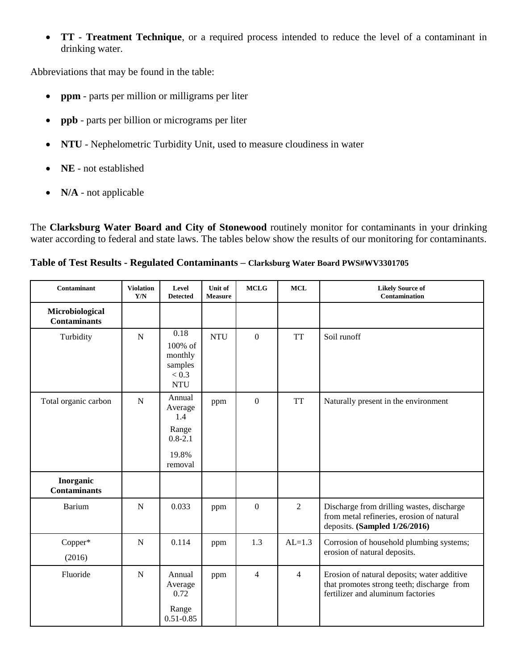**TT - Treatment Technique**, or a required process intended to reduce the level of a contaminant in drinking water.

Abbreviations that may be found in the table:

- **ppm**  parts per million or milligrams per liter
- **ppb** parts per billion or micrograms per liter
- **NTU** Nephelometric Turbidity Unit, used to measure cloudiness in water
- **NE**  not established
- **N/A** not applicable

The **Clarksburg Water Board and City of Stonewood** routinely monitor for contaminants in your drinking water according to federal and state laws. The tables below show the results of our monitoring for contaminants.

## **Table of Test Results - Regulated Contaminants** *–* **Clarksburg Water Board PWS#WV3301705**

| Contaminant                            | <b>Violation</b><br>$\mathbf{Y}/\mathbf{N}$ | Level<br><b>Detected</b>                                             | Unit of<br><b>Measure</b> | <b>MCLG</b>      | <b>MCL</b>     | <b>Likely Source of</b><br>Contamination                                                                                       |
|----------------------------------------|---------------------------------------------|----------------------------------------------------------------------|---------------------------|------------------|----------------|--------------------------------------------------------------------------------------------------------------------------------|
| Microbiological<br><b>Contaminants</b> |                                             |                                                                      |                           |                  |                |                                                                                                                                |
| Turbidity                              | $\mathbf N$                                 | 0.18<br>100% of<br>monthly<br>samples<br>< 0.3<br><b>NTU</b>         | <b>NTU</b>                | $\mathbf{0}$     | <b>TT</b>      | Soil runoff                                                                                                                    |
| Total organic carbon                   | $\mathbf N$                                 | Annual<br>Average<br>1.4<br>Range<br>$0.8 - 2.1$<br>19.8%<br>removal | ppm                       | $\mathbf{0}$     | <b>TT</b>      | Naturally present in the environment                                                                                           |
| Inorganic<br><b>Contaminants</b>       |                                             |                                                                      |                           |                  |                |                                                                                                                                |
| <b>Barium</b>                          | $\mathbf N$                                 | 0.033                                                                | ppm                       | $\boldsymbol{0}$ | $\overline{2}$ | Discharge from drilling wastes, discharge<br>from metal refineries, erosion of natural<br>deposits. (Sampled 1/26/2016)        |
| Copper*<br>(2016)                      | $\mathbf N$                                 | 0.114                                                                | ppm                       | 1.3              | $AL=1.3$       | Corrosion of household plumbing systems;<br>erosion of natural deposits.                                                       |
| Fluoride                               | $\mathbf N$                                 | Annual<br>Average<br>0.72<br>Range<br>$0.51 - 0.85$                  | ppm                       | $\overline{4}$   | 4              | Erosion of natural deposits; water additive<br>that promotes strong teeth; discharge from<br>fertilizer and aluminum factories |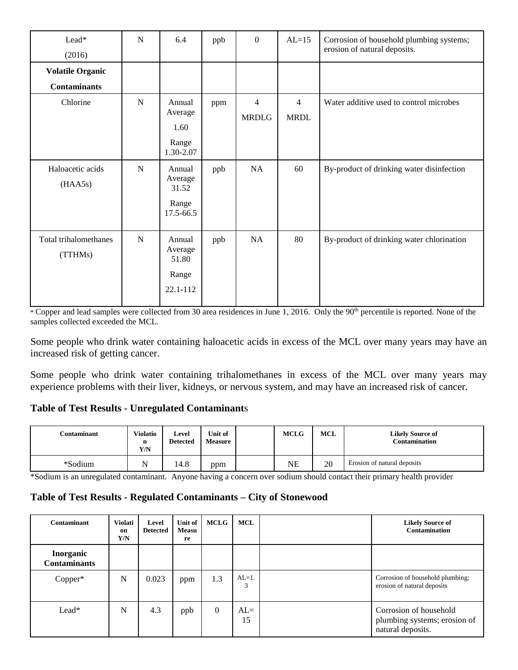| Lead*<br>(2016)                                | N | 6.4                                              | ppb | $\theta$          | $AL=15$                       | Corrosion of household plumbing systems;<br>erosion of natural deposits. |
|------------------------------------------------|---|--------------------------------------------------|-----|-------------------|-------------------------------|--------------------------------------------------------------------------|
| <b>Volatile Organic</b><br><b>Contaminants</b> |   |                                                  |     |                   |                               |                                                                          |
| Chlorine                                       | N | Annual<br>Average<br>1.60<br>Range<br>1.30-2.07  | ppm | 4<br><b>MRDLG</b> | $\overline{4}$<br><b>MRDL</b> | Water additive used to control microbes                                  |
| Haloacetic acids<br>(HAA5s)                    | N | Annual<br>Average<br>31.52<br>Range<br>17.5-66.5 | ppb | NA                | 60                            | By-product of drinking water disinfection                                |
| Total trihalomethanes<br>(TTHMs)               | N | Annual<br>Average<br>51.80<br>Range<br>22.1-112  | ppb | NA                | 80                            | By-product of drinking water chlorination                                |

\* Copper and lead samples were collected from 30 area residences in June 1, 2016. Only the 90<sup>th</sup> percentile is reported. None of the samples collected exceeded the MCL.

Some people who drink water containing haloacetic acids in excess of the MCL over many years may have an increased risk of getting cancer.

Some people who drink water containing trihalomethanes in excess of the MCL over many years may experience problems with their liver, kidneys, or nervous system, and may have an increased risk of cancer.

### **Table of Test Results - Unregulated Contaminant**s

| C <b>ontaminant</b> | <b>Violatio</b><br>n<br>Y/N | Level<br><b>Detected</b> | Unit of<br><b>Measure</b> | <b>MCLG</b> | <b>MCL</b> | <b>Likely Source of</b><br><b>Contamination</b> |
|---------------------|-----------------------------|--------------------------|---------------------------|-------------|------------|-------------------------------------------------|
| *Sodium             | <b>NT</b>                   | $\circ$<br>14.8          | ppm                       | NΕ          | 20         | Erosion of natural deposits                     |

\*Sodium is an unregulated contaminant. Anyone having a concern over sodium should contact their primary health provider

### **Table of Test Results - Regulated Contaminants** *–* **City of Stonewood**

| Contaminant                             | Violati<br>on<br>Y/N | Level<br><b>Detected</b> | Unit of<br><b>Measu</b><br>re | <b>MCLG</b> | MCL         | <b>Likely Source of</b><br>Contamination                                    |
|-----------------------------------------|----------------------|--------------------------|-------------------------------|-------------|-------------|-----------------------------------------------------------------------------|
| <b>Inorganic</b><br><b>Contaminants</b> |                      |                          |                               |             |             |                                                                             |
| Copper*                                 | N                    | 0.023                    | ppm                           | 1.3         | $AL=1$ .    | Corrosion of household plumbing;<br>erosion of natural deposits             |
| Lead*                                   | N                    | 4.3                      | ppb                           | $\theta$    | $AL=$<br>15 | Corrosion of household<br>plumbing systems; erosion of<br>natural deposits. |